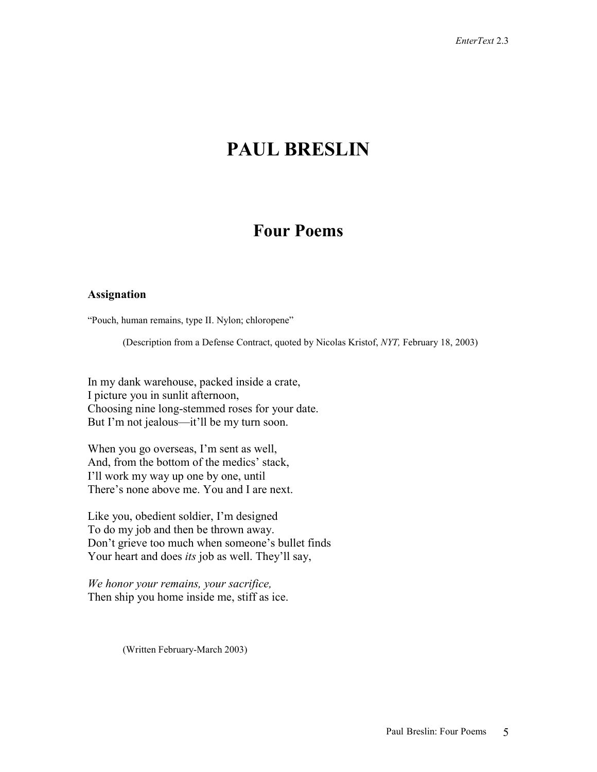# **PAUL BRESLIN**

# **Four Poems**

#### **Assignation**

"Pouch, human remains, type II. Nylon; chloropene"

(Description from a Defense Contract, quoted by Nicolas Kristof, *NYT,* February 18, 2003)

In my dank warehouse, packed inside a crate, I picture you in sunlit afternoon, Choosing nine long-stemmed roses for your date. But I'm not jealous—it'll be my turn soon.

When you go overseas, I'm sent as well, And, from the bottom of the medics' stack, I'll work my way up one by one, until There's none above me. You and I are next.

Like you, obedient soldier, I'm designed To do my job and then be thrown away. Don't grieve too much when someone's bullet finds Your heart and does *its* job as well. They'll say,

*We honor your remains, your sacrifice,*  Then ship you home inside me, stiff as ice.

(Written February-March 2003)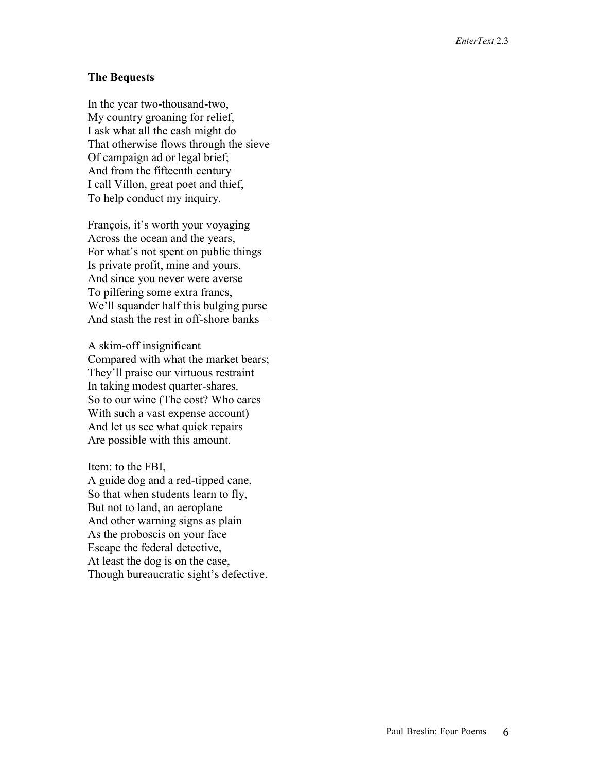#### **The Bequests**

In the year two-thousand-two, My country groaning for relief, I ask what all the cash might do That otherwise flows through the sieve Of campaign ad or legal brief; And from the fifteenth century I call Villon, great poet and thief, To help conduct my inquiry.

François, it's worth your voyaging Across the ocean and the years, For what's not spent on public things Is private profit, mine and yours. And since you never were averse To pilfering some extra francs, We'll squander half this bulging purse And stash the rest in off-shore banks—

A skim-off insignificant Compared with what the market bears; They'll praise our virtuous restraint In taking modest quarter-shares. So to our wine (The cost? Who cares With such a vast expense account) And let us see what quick repairs Are possible with this amount.

Item: to the FBI, A guide dog and a red-tipped cane, So that when students learn to fly, But not to land, an aeroplane And other warning signs as plain As the proboscis on your face Escape the federal detective, At least the dog is on the case, Though bureaucratic sight's defective.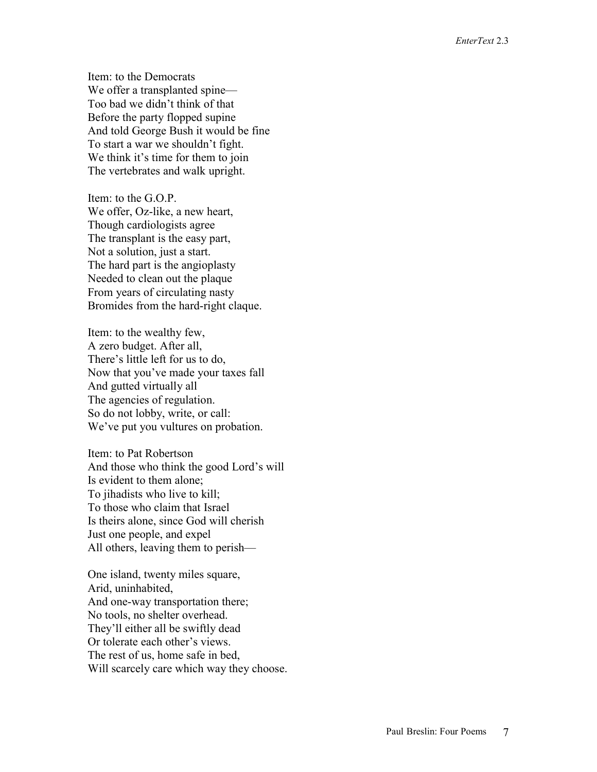Item: to the Democrats We offer a transplanted spine— Too bad we didn't think of that Before the party flopped supine And told George Bush it would be fine To start a war we shouldn't fight. We think it's time for them to join The vertebrates and walk upright.

Item: to the G.O.P. We offer, Oz-like, a new heart, Though cardiologists agree The transplant is the easy part, Not a solution, just a start. The hard part is the angioplasty Needed to clean out the plaque From years of circulating nasty Bromides from the hard-right claque.

Item: to the wealthy few, A zero budget. After all, There's little left for us to do, Now that you've made your taxes fall And gutted virtually all The agencies of regulation. So do not lobby, write, or call: We've put you vultures on probation.

Item: to Pat Robertson And those who think the good Lord's will Is evident to them alone; To jihadists who live to kill; To those who claim that Israel Is theirs alone, since God will cherish Just one people, and expel All others, leaving them to perish—

One island, twenty miles square, Arid, uninhabited, And one-way transportation there; No tools, no shelter overhead. They'll either all be swiftly dead Or tolerate each other's views. The rest of us, home safe in bed, Will scarcely care which way they choose.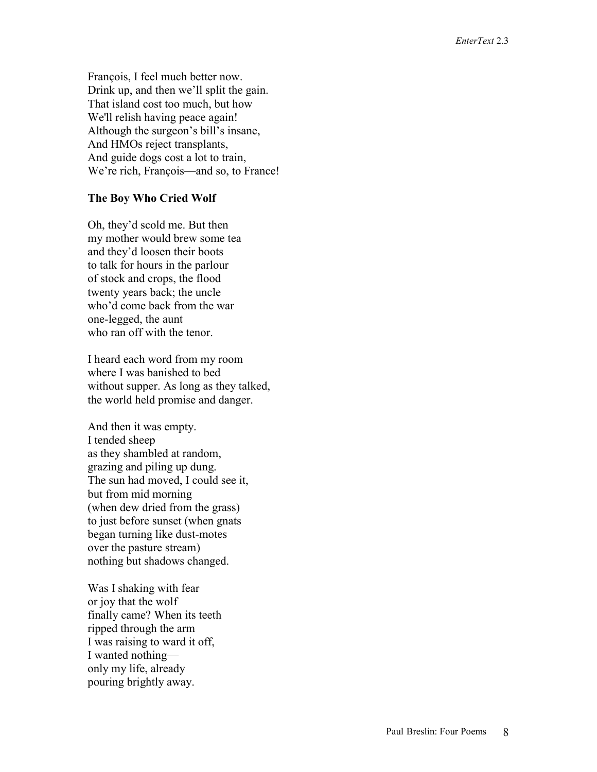François, I feel much better now. Drink up, and then we'll split the gain. That island cost too much, but how We'll relish having peace again! Although the surgeon's bill's insane, And HMOs reject transplants, And guide dogs cost a lot to train, We're rich, François—and so, to France!

## **The Boy Who Cried Wolf**

Oh, they'd scold me. But then my mother would brew some tea and they'd loosen their boots to talk for hours in the parlour of stock and crops, the flood twenty years back; the uncle who'd come back from the war one-legged, the aunt who ran off with the tenor.

I heard each word from my room where I was banished to bed without supper. As long as they talked, the world held promise and danger.

And then it was empty. I tended sheep as they shambled at random, grazing and piling up dung. The sun had moved, I could see it, but from mid morning (when dew dried from the grass) to just before sunset (when gnats began turning like dust-motes over the pasture stream) nothing but shadows changed.

Was I shaking with fear or joy that the wolf finally came? When its teeth ripped through the arm I was raising to ward it off, I wanted nothing only my life, already pouring brightly away.